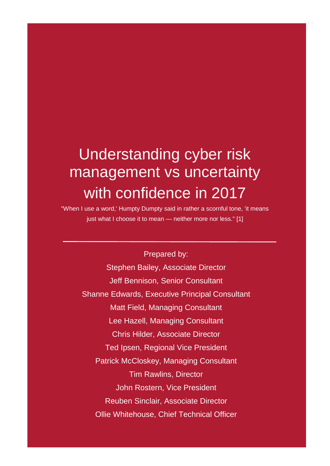#### Understanding cyber risk management vs uncertainty with confidence in 2017

"When I use a word,' Humpty Dumpty said in rather a scornful tone, 'it means just what I choose it to mean - neither more nor less." [1]

Prepared by: Stephen Bailey, Associate Director Jeff Bennison, Senior Consultant Shanne Edwards, Executive Principal Consultant Matt Field, Managing Consultant Lee Hazell, Managing Consultant Chris Hilder, Associate Director Ted Ipsen, Regional Vice President Patrick McCloskey, Managing Consultant Tim Rawlins, Director John Rostern, Vice President Reuben Sinclair, Associate Director Ollie Whitehouse, Chief Technical Officer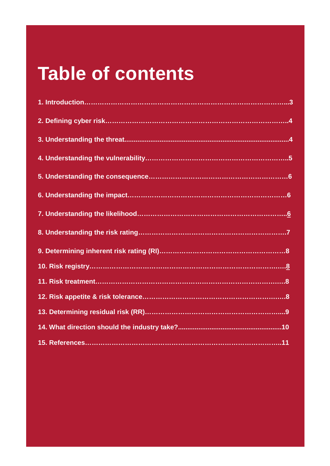#### **Table of contents**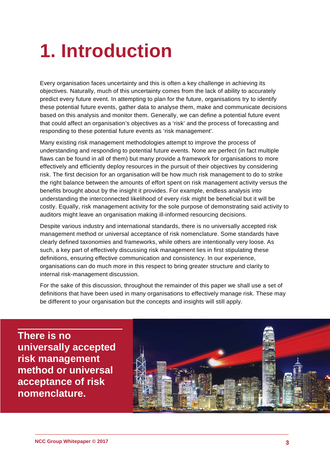#### <span id="page-2-0"></span>**1. Introduction**

Every organisation faces uncertainty and this is often a key challenge in achieving its objectives. Naturally, much of this uncertainty comes from the lack of ability to accurately predict every future event. In attempting to plan for the future, organisations try to identify these potential future events, gather data to analyse them, make and communicate decisions based on this analysis and monitor them. Generally, we can define a potential future event that could affect an organisation's objectives as a 'risk' and the process of forecasting and responding to these potential future events as 'risk management'.

Many existing risk management methodologies attempt to improve the process of understanding and responding to potential future events. None are perfect (in fact multiple flaws can be found in all of them) but many provide a framework for organisations to more effectively and efficiently deploy resources in the pursuit of their objectives by considering risk. The first decision for an organisation will be how much risk management to do to strike the right balance between the amounts of effort spent on risk management activity versus the benefits brought about by the insight it provides. For example, endless analysis into understanding the interconnected likelihood of every risk might be beneficial but it will be costly. Equally, risk management activity for the sole purpose of demonstrating said activity to auditors might leave an organisation making ill-informed resourcing decisions.

Despite various industry and international standards, there is no universally accepted risk management method or universal acceptance of risk nomenclature. Some standards have clearly defined taxonomies and frameworks, while others are intentionally very loose. As such, a key part of effectively discussing risk management lies in first stipulating these definitions, ensuring effective communication and consistency. In our experience, organisations can do much more in this respect to bring greater structure and clarity to internal risk-management discussion.

<span id="page-2-1"></span>For the sake of this discussion, throughout the remainder of this paper we shall use a set of definitions that have been used in many organisations to effectively manage risk. These may be different to your organisation but the concepts and insights will still apply.

**There is no universally accepted risk management method or universal acceptance of risk nomenclature.**

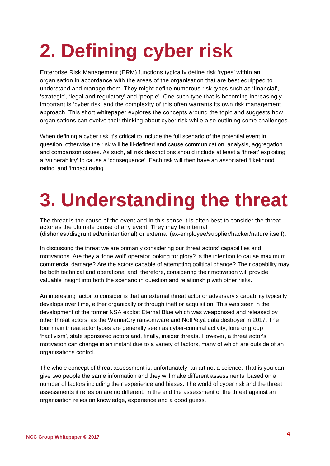### **2. Defining cyber risk**

Enterprise Risk Management (ERM) functions typically define risk 'types' within an organisation in accordance with the areas of the organisation that are best equipped to understand and manage them. They might define numerous risk types such as 'financial', 'strategic', 'legal and regulatory' and 'people'. One such type that is becoming increasingly important is 'cyber risk' and the complexity of this often warrants its own risk management approach. This short whitepaper explores the concepts around the topic and suggests how organisations can evolve their thinking about cyber risk while also outlining some challenges.

When defining a cyber risk it's critical to include the full scenario of the potential event in question, otherwise the risk will be ill-defined and cause communication, analysis, aggregation and comparison issues. As such, all risk descriptions should include at least a 'threat' exploiting a 'vulnerability' to cause a 'consequence'. Each risk will then have an associated 'likelihood rating' and 'impact rating'.

#### **3. Understanding the threat**

The threat is the cause of the event and in this sense it is often best to consider the threat actor as the ultimate cause of any event. They may be internal (dishonest/disgruntled/unintentional) or external (ex-employee/supplier/hacker/nature itself).

In discussing the threat we are primarily considering our threat actors' capabilities and motivations. Are they a 'lone wolf' operator looking for glory? Is the intention to cause maximum commercial damage? Are the actors capable of attempting political change? Their capability may be both technical and operational and, therefore, considering their motivation will provide valuable insight into both the scenario in question and relationship with other risks.

An interesting factor to consider is that an external threat actor or adversary's capability typically develops over time, either organically or through theft or acquisition. This was seen in the development of the former NSA exploit Eternal Blue which was weaponised and released by other threat actors, as the WannaCry ransomware and NotPetya data destroyer in 2017. The four main threat actor types are generally seen as cyber-criminal activity, lone or group 'hactivism', state sponsored actors and, finally, insider threats. However, a threat actor's motivation can change in an instant due to a variety of factors, many of which are outside of an organisations control.

The whole concept of threat assessment is, unfortunately, an art not a science. That is you can give two people the same information and they will make different assessments, based on a number of factors including their experience and biases. The world of cyber risk and the threat assessments it relies on are no different. In the end the assessment of the threat against an organisation relies on knowledge, experience and a good guess.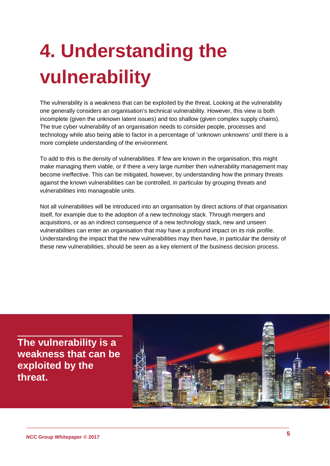# **4. Understanding the vulnerability**

The vulnerability is a weakness that can be exploited by the threat. Looking at the vulnerability one generally considers an organisation's technical vulnerability. However, this view is both incomplete (given the unknown latent issues) and too shallow (given complex supply chains). The true cyber vulnerability of an organisation needs to consider people, processes and technology while also being able to factor in a percentage of 'unknown unknowns' until there is a more complete understanding of the environment.

To add to this is the density of vulnerabilities. If few are known in the organisation, this might make managing them viable, or if there a very large number then vulnerability management may become ineffective. This can be mitigated, however, by understanding how the primary threats against the known vulnerabilities can be controlled, in particular by grouping threats and vulnerabilities into manageable units.

Not all vulnerabilities will be introduced into an organisation by direct actions of that organisation itself, for example due to the adoption of a new technology stack. Through mergers and acquisitions, or as an indirect consequence of a new technology stack, new and unseen vulnerabilities can enter an organisation that may have a profound impact on its risk profile. Understanding the impact that the new vulnerabilities may then have, in particular the density of these new vulnerabilities, should be seen as a key element of the business decision process.

**The vulnerability is a weakness that can be exploited by the threat.**

<span id="page-4-0"></span>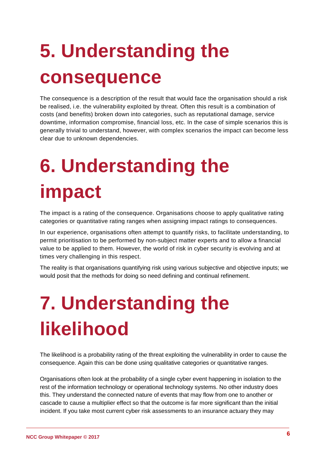# **5. Understanding the consequence**

The consequence is a description of the result that would face the organisation should a risk be realised, i.e. the vulnerability exploited by threat. Often this result is a combination of costs (and benefits) broken down into categories, such as reputational damage, service downtime, information compromise, financial loss, etc. In the case of simple scenarios this is generally trivial to understand, however, with complex scenarios the impact can become less clear due to unknown dependencies.

### <span id="page-5-0"></span>**6. Understanding the impact**

The impact is a rating of the consequence. Organisations choose to apply qualitative rating categories or quantitative rating ranges when assigning impact ratings to consequences.

In our experience, organisations often attempt to quantify risks, to facilitate understanding, to permit prioritisation to be performed by non-subject matter experts and to allow a financial value to be applied to them. However, the world of risk in cyber security is evolving and at times very challenging in this respect.

<span id="page-5-1"></span>The reality is that organisations quantifying risk using various subjective and objective inputs; we would posit that the methods for doing so need defining and continual refinement.

### **7. Understanding the likelihood**

The likelihood is a probability rating of the threat exploiting the vulnerability in order to cause the consequence. Again this can be done using qualitative categories or quantitative ranges.

Organisations often look at the probability of a single cyber event happening in isolation to the rest of the information technology or operational technology systems. No other industry does this. They understand the connected nature of events that may flow from one to another or cascade to cause a multiplier effect so that the outcome is far more significant than the initial incident. If you take most current cyber risk assessments to an insurance actuary they may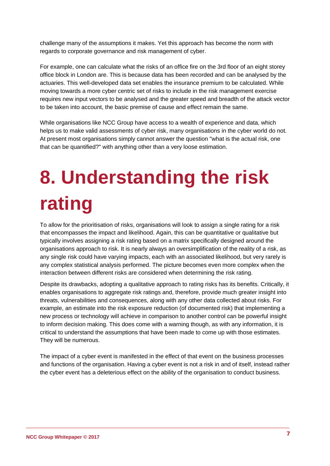challenge many of the assumptions it makes. Yet this approach has become the norm with regards to corporate governance and risk management of cyber.

For example, one can calculate what the risks of an office fire on the 3rd floor of an eight storey office block in London are. This is because data has been recorded and can be analysed by the actuaries. This well-developed data set enables the insurance premium to be calculated. While moving towards a more cyber centric set of risks to include in the risk management exercise requires new input vectors to be analysed and the greater speed and breadth of the attack vector to be taken into account, the basic premise of cause and effect remain the same.

While organisations like NCC Group have access to a wealth of experience and data, which helps us to make valid assessments of cyber risk, many organisations in the cyber world do not. At present most organisations simply cannot answer the question "what is the actual risk, one that can be quantified?" with anything other than a very loose estimation.

### <span id="page-6-0"></span>**8. Understanding the risk rating**

To allow for the prioritisation of risks, organisations will look to assign a single rating for a risk that encompasses the impact and likelihood. Again, this can be quantitative or qualitative but typically involves assigning a risk rating based on a matrix specifically designed around the organisations approach to risk. It is nearly always an oversimplification of the reality of a risk, as any single risk could have varying impacts, each with an associated likelihood, but very rarely is any complex statistical analysis performed. The picture becomes even more complex when the interaction between different risks are considered when determining the risk rating.

Despite its drawbacks, adopting a qualitative approach to rating risks has its benefits. Critically, it enables organisations to aggregate risk ratings and, therefore, provide much greater insight into threats, vulnerabilities and consequences, along with any other data collected about risks. For example, an estimate into the risk exposure reduction (of documented risk) that implementing a new process or technology will achieve in comparison to another control can be powerful insight to inform decision making. This does come with a warning though, as with any information, it is critical to understand the assumptions that have been made to come up with those estimates. They will be numerous.

The impact of a cyber event is manifested in the effect of that event on the business processes and functions of the organisation. Having a cyber event is not a risk in and of itself, instead rather the cyber event has a deleterious effect on the ability of the organisation to conduct business.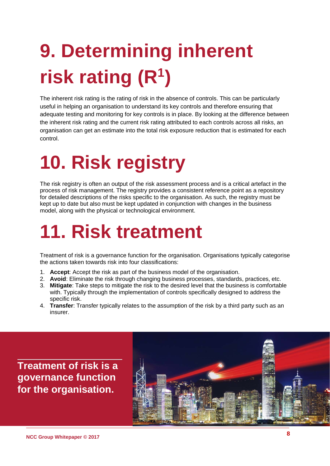# **9. Determining inherent risk rating (R1)**

The inherent risk rating is the rating of risk in the absence of controls. This can be particularly useful in helping an organisation to understand its key controls and therefore ensuring that adequate testing and monitoring for key controls is in place. By looking at the difference between the inherent risk rating and the current risk rating attributed to each controls across all risks, an organisation can get an estimate into the total risk exposure reduction that is estimated for each control.

#### **10. Risk registry**

The risk registry is often an output of the risk assessment process and is a critical artefact in the process of risk management. The registry provides a consistent reference point as a repository for detailed descriptions of the risks specific to the organisation. As such, the registry must be kept up to date but also must be kept updated in conjunction with changes in the business model, along with the physical or technological environment.

#### **11. Risk treatment**

Treatment of risk is a governance function for the organisation. Organisations typically categorise the actions taken towards risk into four classifications:

- 1. **Accept**: Accept the risk as part of the business model of the organisation.
- 2. **Avoid**: Eliminate the risk through changing business processes, standards, practices, etc.
- 3. **Mitigate**: Take steps to mitigate the risk to the desired level that the business is comfortable with. Typically through the implementation of controls specifically designed to address the specific risk.
- 4. **Transfer**: Transfer typically relates to the assumption of the risk by a third party such as an insurer.

**Treatment of risk is a governance function for the organisation.**

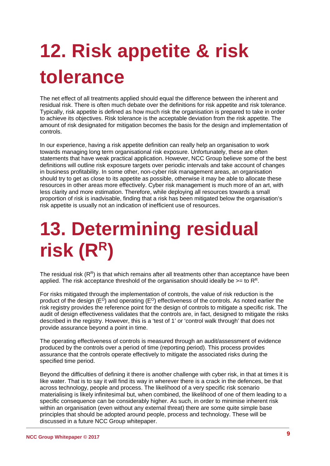# **12. Risk appetite & risk tolerance**

The net effect of all treatments applied should equal the difference between the inherent and residual risk. There is often much debate over the definitions for risk appetite and risk tolerance. Typically, risk appetite is defined as how much risk the organisation is prepared to take in order to achieve its objectives. Risk tolerance is the acceptable deviation from the risk appetite. The amount of risk designated for mitigation becomes the basis for the design and implementation of controls.

In our experience, having a risk appetite definition can really help an organisation to work towards managing long term organisational risk exposure. Unfortunately, these are often statements that have weak practical application. However, NCC Group believe some of the best definitions will outline risk exposure targets over periodic intervals and take account of changes in business profitability. In some other, non-cyber risk management areas, an organisation should try to get as close to its appetite as possible, otherwise it may be able to allocate these resources in other areas more effectively. Cyber risk management is much more of an art, with less clarity and more estimation. Therefore, while deploying all resources towards a small proportion of risk is inadvisable, finding that a risk has been mitigated below the organisation's risk appetite is usually not an indication of inefficient use of resources.

#### **13. Determining residual risk (RR)**

The residual risk  $(R<sup>R</sup>)$  is that which remains after all treatments other than acceptance have been applied. The risk acceptance threshold of the organisation should ideally be  $>=$  to  $\mathsf{R}^{\mathsf{R}}$ .

For risks mitigated through the implementation of controls, the value of risk reduction is the product of the design  $(E^D)$  and operating  $(E^O)$  effectiveness of the controls. As noted earlier the risk registry provides the reference point for the design of controls to mitigate a specific risk. The audit of design effectiveness validates that the controls are, in fact, designed to mitigate the risks described in the registry. However, this is a 'test of 1' or 'control walk through' that does not provide assurance beyond a point in time.

The operating effectiveness of controls is measured through an audit/assessment of evidence produced by the controls over a period of time (reporting period). This process provides assurance that the controls operate effectively to mitigate the associated risks during the specified time period.

Beyond the difficulties of defining it there is another challenge with cyber risk, in that at times it is like water. That is to say it will find its way in wherever there is a crack in the defences, be that across technology, people and process. The likelihood of a very specific risk scenario materialising is likely infinitesimal but, when combined, the likelihood of one of them leading to a specific consequence can be considerably higher. As such, in order to minimise inherent risk within an organisation (even without any external threat) there are some quite simple base principles that should be adopted around people, process and technology. These will be discussed in a future NCC Group whitepaper.